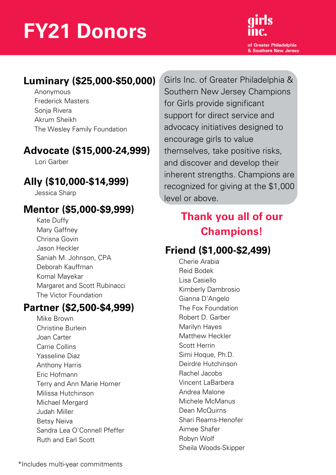# **FY21 Donors**



## **Luminary (\$25,000-\$50,000)**

Anonymous Frederick Masters Sonja Rivera Akrum Sheikh The Wesley Family Foundation

### **Advocate (\$15,000-24,999)**

Lori Garber

## **Ally (\$10,000-\$14,999)**

Jessica Sharp

## **Mentor (\$5,000-\$9,999)**

Kate Duffy Mary Gaffney Chrisna Govin Jason Heckler Saniah M. Johnson, CPA Deborah Kauffman Komal Mayekar Margaret and Scott Rubinacci The Victor Foundation

#### **Partner (\$2,500-\$4,999)**

Mike Brown Christine Burlein Joan Carter Carrie Collins Yasseline Diaz Anthony Harris Eric Hofmann Terry and Ann Marie Horner Milissa Hutchinson Michael Mergard Judah Miller Betsy Neiva Sandra Lea O'Connell Pfeffer Ruth and Earl Scott

Girls Inc. of Greater Philadelphia & Southern New Jersey Champions for Girls provide significant support for direct service and advocacy initiatives designed to encourage girls to value themselves, take positive risks, and discover and develop their inherent strengths. Champions are recognized for giving at the \$1,000 level or above.

# **Thank you all of our [Champions!](https://girlsincpa-nj.org/about-us/our-investors/)**

# **Friend (\$1,000-\$2,499)**

Cherie Arabia Reid Bodek Lisa Casiello Kimberly Dambrosio Gianna D'Angelo The Fox Foundation Robert D. Garber Marilyn Hayes Matthew Heckler Scott Herrin Simi Hoque, Ph.D. Deirdre Hutchinson Rachel Jacobs Vincent LaBarbera Andrea Malone Michele McManus Dean McQuirns Shari Reams-Henofer Aimee Shafer Robyn Wolf Sheila Woods-Skipper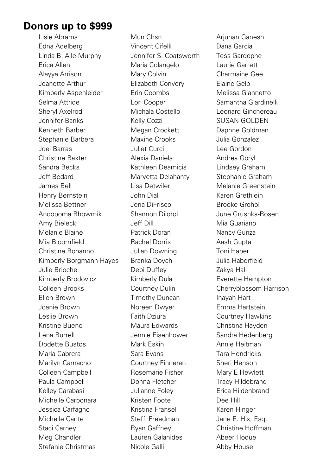#### **Donors up to \$999**

Lisie Abrams Edna Adelberg Linda B. Alle-Murphy Erica Allen Alayya Arrison Jeanette Arthur Kimberly Aspenleider Selma Attride Sheryl Axelrod Jennifer Banks Kenneth Barber Stephanie Barbera Joel Barras Christine Baxter Sandra Becks Jeff Bedard James Bell Henry Bernstein Melissa Bettner Anoopoma Bhowmik Amy Bielecki Melanie Blaine Mia Bloomfield Christine Bonanno Kimberly Borgmann-Hayes Julie Brioche Kimberly Brodovicz Colleen Brooks Ellen Brown Joanie Brown Leslie Brown Kristine Bueno Lena Burrell Dodette Bustos Maria Cabrera Marilyn Camacho Colleen Campbell Paula Campbell Kelley Carabasi Michelle Carbonara Jessica Carfagno Michelle Carite Staci Carney Meg Chandler Stefanie Christmas

Mun Chsn Vincent Cifelli Jennifer S. Coatsworth Maria Colangelo Mary Colvin Elizabeth Convery Erin Coombs Lori Cooper Michala Costello Kelly Cozzi Megan Crockett Maxine Crooks Juliet Curci Alexia Daniels Kathleen Deamicis Maryetta Delahanty Lisa Detwiler John Dial Jena DiFrisco Shannon Diioroi Jeff Dill Patrick Doran Rachel Dorris Julian Downing Branka Doych Debi Duffey Kimberly Dula Courtney Dulin Timothy Duncan Noreen Dwyer Faith Dziura Maura Edwards Jennie Eisenhower Mark Eskin Sara Evans Courtney Finneran Rosemarie Fisher Donna Fletcher Julianne Foley Kristen Foote Kristina Fransel Steffi Freedman Ryan Gaffney Lauren Galanides Nicole Galli

Arjunan Ganesh Dana Garcia Tess Gardephe Laurie Garrett Charmaine Gee Elaine Gelb Melissa Giannetto Samantha Giardinelli Leonard Ginchereau SUSAN GOLDEN Daphne Goldman Julia Gonzalez Lee Gordon Andrea Goryl Lindsey Graham Stephanie Graham Melanie Greenstein Karen Grethlein Brooke Grohol June Grushka-Rosen Mia Guariano Nancy Gunza Aash Gupta Toni Haber Julia Haberfield Zakya Hall Everette Hampton Cherryblossom Harrison Inayah Hart Emma Hartstein Courtney Hawkins Christina Hayden Sandra Hedenberg Annie Heitman Tara Hendricks Sheri Henson Mary E Hewlett Tracy Hildebrand Erica Hildenbrand Dee Hill Karen Hinger Jane E. Hix, Esq. Christine Hoffman Abeer Hoque Abby House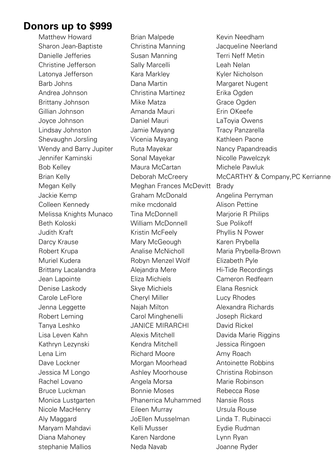#### **Donors up to \$999**

Matthew Howard Sharon Jean-Baptiste Danielle Jefferies Christine Jefferson Latonya Jefferson Barb Johns Andrea Johnson Brittany Johnson Gillian Johnson Joyce Johnson Lindsay Johnston Shevaughn Jorsling Wendy and Barry Jupiter Jennifer Kaminski Bob Kelley Brian Kelly Megan Kelly Jackie Kemp Colleen Kennedy Melissa Knights Munaco Beth Koloski Judith Kraft Darcy Krause Robert Krupa Muriel Kudera Brittany Lacalandra Jean Lapointe Denise Laskody Carole LeFlore Jenna Leggette Robert Leming Tanya Leshko Lisa Leven Kahn Kathryn Lezynski Lena Lim Dave Lockner Jessica M Longo Rachel Lovano Bruce Luckman Monica Lustgarten Nicole MacHenry Aly Maggard Maryam Mahdavi Diana Mahoney stephanie Mallios

Brian Malpede Christina Manning Susan Manning Sally Marcelli Kara Markley Dana Martin Christina Martinez Mike Matza Amanda Mauri Daniel Mauri Jamie Mayang Vicenia Mayang Ruta Mayekar Sonal Mayekar Maura McCartan Deborah McCreery Meghan Frances McDevitt Graham McDonald mike mcdonald Tina McDonnell William McDonnell Kristin McFeely Mary McGeough Analise McNicholl Robyn Menzel Wolf Alejandra Mere Eliza Michiels Skye Michiels Cheryl Miller Najah Milton Carol Minghenelli JANICE MIRARCHI Alexis Mitchell Kendra Mitchell Richard Moore Morgan Moorhead Ashley Moorhouse Angela Morsa Bonnie Moses Phanerrica Muhammed Eileen Murray JoEllen Musselman Kelli Musser Karen Nardone Neda Navab

Kevin Needham Jacqueline Neerland Terri Neff Metin Leah Nelan Kyler Nicholson Margaret Nugent Erika Ogden Grace Ogden Erin OKeefe LaToyia Owens Tracy Panzarella Kathleen Paone Nancy Papandreadis Nicolle Pawelczyk Michele Pawluk McCARTHY & Company,PC Kerrianne Brady Angelina Perryman Alison Pettine Marjorie R Philips Sue Polikoff Phyllis N Power Karen Prybella Maria Prybella-Brown Elizabeth Pyle Hi-Tide Recordings Cameron Redfearn Elana Resnick Lucy Rhodes Alexandra Richards Joseph Rickard David Rickel Davida Marie Riggins Jessica Ringoen Amy Roach Antoinette Robbins Christina Robinson Marie Robinson Rebecca Rose Nansie Ross Ursula Rouse Linda T. Rubinacci Eydie Rudman Lynn Ryan Joanne Ryder